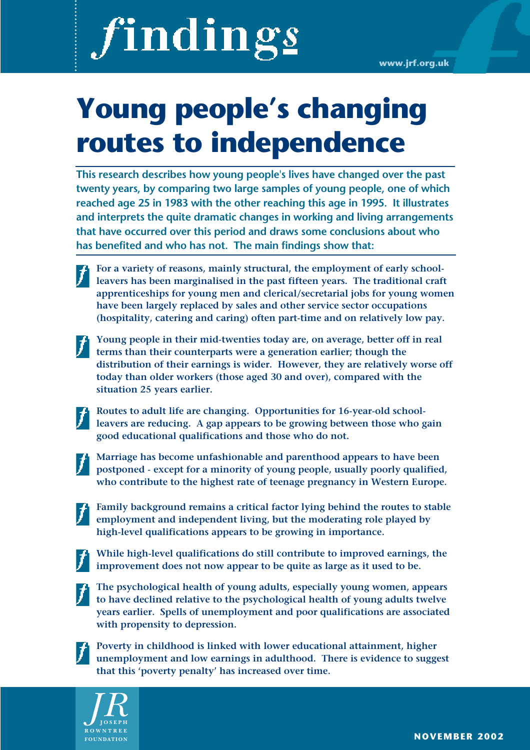# findings

**www.jrf.org.uk**

## **Young people's changing routes to independence**

**This research describes how young people's lives have changed over the past twenty years, by comparing two large samples of young people, one of which reached age 25 in 1983 with the other reaching this age in 1995. It illustrates and interprets the quite dramatic changes in working and living arrangements that have occurred over this period and draws some conclusions about who has benefited and who has not. The main findings show that:**

**For a variety of reasons, mainly structural, the employment of early schoolleavers has been marginalised in the past fifteen years. The traditional craft apprenticeships for young men and clerical/secretarial jobs for young women have been largely replaced by sales and other service sector occupations (hospitality, catering and caring) often part-time and on relatively low pay.**

- **Young people in their mid-twenties today are, on average, better off in real the terms than their counterparts were a generation earlier; though the distribution of their earnings is wider. However, they are relatively worse off today than older workers (those aged 30 and over), compared with the situation 25 years earlier.**
	- **Routes to adult life are changing. Opportunities for 16-year-old schoolleavers are reducing. A gap appears to be growing between those who gain good educational qualifications and those who do not.**
- 

**Marriage has become unfashionable and parenthood appears to have been postponed - except for a minority of young people, usually poorly qualified, who contribute to the highest rate of teenage pregnancy in Western Europe.**

**Family background remains a critical factor lying behind the routes to stable employment and independent living, but the moderating role played by high-level qualifications appears to be growing in importance.**

**While high-level qualifications do still contribute to improved earnings, the improvement does not now appear to be quite as large as it used to be.**

**The psychological health of young adults, especially young women, appears to have declined relative to the psychological health of young adults twelve years earlier. Spells of unemployment and poor qualifications are associated with propensity to depression.** 

**Poverty in childhood is linked with lower educational attainment, higher unemployment and low earnings in adulthood. There is evidence to suggest that this 'poverty penalty' has increased over time.**

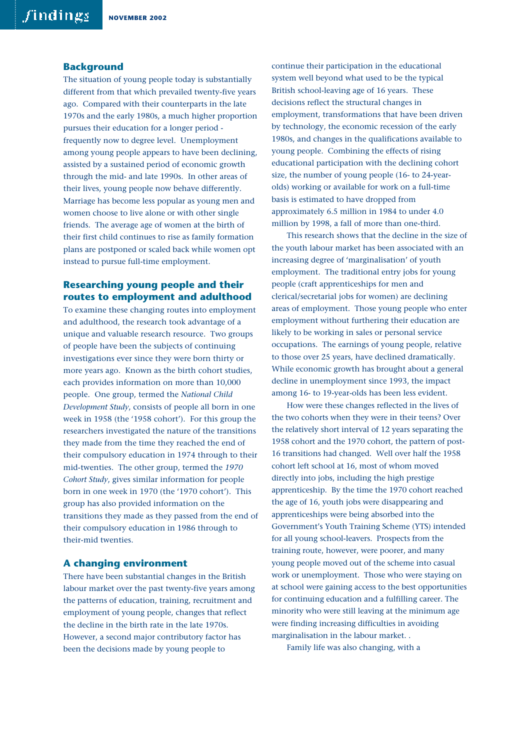#### **Background**

The situation of young people today is substantially different from that which prevailed twenty-five years ago. Compared with their counterparts in the late 1970s and the early 1980s, a much higher proportion pursues their education for a longer period frequently now to degree level. Unemployment among young people appears to have been declining, assisted by a sustained period of economic growth through the mid- and late 1990s. In other areas of their lives, young people now behave differently. Marriage has become less popular as young men and women choose to live alone or with other single friends. The average age of women at the birth of their first child continues to rise as family formation plans are postponed or scaled back while women opt instead to pursue full-time employment.

#### **Researching young people and their routes to employment and adulthood**

To examine these changing routes into employment and adulthood, the research took advantage of a unique and valuable research resource. Two groups of people have been the subjects of continuing investigations ever since they were born thirty or more years ago. Known as the birth cohort studies, each provides information on more than 10,000 people. One group, termed the *National Child Development Study*, consists of people all born in one week in 1958 (the '1958 cohort'). For this group the researchers investigated the nature of the transitions they made from the time they reached the end of their compulsory education in 1974 through to their mid-twenties. The other group, termed the *1970 Cohort Study*, gives similar information for people born in one week in 1970 (the '1970 cohort'). This group has also provided information on the transitions they made as they passed from the end of their compulsory education in 1986 through to their-mid twenties.

#### **A changing environment**

There have been substantial changes in the British labour market over the past twenty-five years among the patterns of education, training, recruitment and employment of young people, changes that reflect the decline in the birth rate in the late 1970s. However, a second major contributory factor has been the decisions made by young people to

continue their participation in the educational system well beyond what used to be the typical British school-leaving age of 16 years. These decisions reflect the structural changes in employment, transformations that have been driven by technology, the economic recession of the early 1980s, and changes in the qualifications available to young people. Combining the effects of rising educational participation with the declining cohort size, the number of young people (16- to 24-yearolds) working or available for work on a full-time basis is estimated to have dropped from approximately 6.5 million in 1984 to under 4.0 million by 1998, a fall of more than one-third.

This research shows that the decline in the size of the youth labour market has been associated with an increasing degree of 'marginalisation' of youth employment. The traditional entry jobs for young people (craft apprenticeships for men and clerical/secretarial jobs for women) are declining areas of employment. Those young people who enter employment without furthering their education are likely to be working in sales or personal service occupations. The earnings of young people, relative to those over 25 years, have declined dramatically. While economic growth has brought about a general decline in unemployment since 1993, the impact among 16- to 19-year-olds has been less evident.

How were these changes reflected in the lives of the two cohorts when they were in their teens? Over the relatively short interval of 12 years separating the 1958 cohort and the 1970 cohort, the pattern of post-16 transitions had changed. Well over half the 1958 cohort left school at 16, most of whom moved directly into jobs, including the high prestige apprenticeship. By the time the 1970 cohort reached the age of 16, youth jobs were disappearing and apprenticeships were being absorbed into the Government's Youth Training Scheme (YTS) intended for all young school-leavers. Prospects from the training route, however, were poorer, and many young people moved out of the scheme into casual work or unemployment. Those who were staying on at school were gaining access to the best opportunities for continuing education and a fulfilling career. The minority who were still leaving at the minimum age were finding increasing difficulties in avoiding marginalisation in the labour market. .

Family life was also changing, with a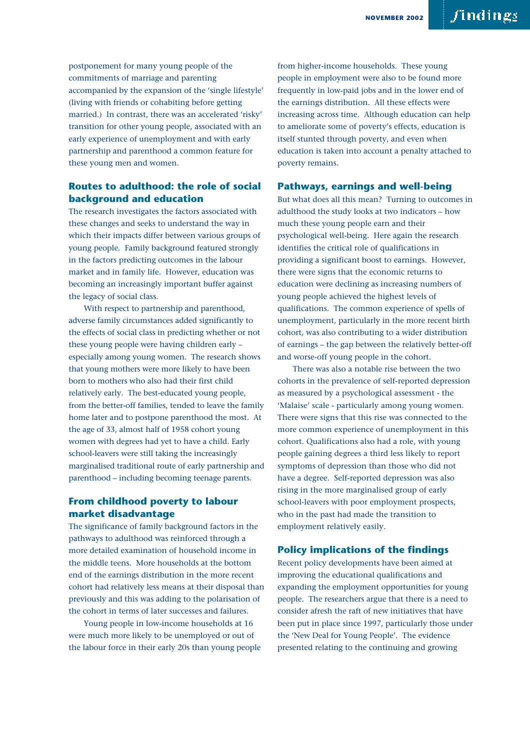postponement for many young people of the commitments of marriage and parenting accompanied by the expansion of the 'single lifestyle' (living with friends or cohabiting before getting married.) In contrast, there was an accelerated 'risky' transition for other young people, associated with an early experience of unemployment and with early partnership and parenthood a common feature for these young men and women.

#### **Routes to adulthood: the role of social background and education**

The research investigates the factors associated with these changes and seeks to understand the way in which their impacts differ between various groups of young people. Family background featured strongly in the factors predicting outcomes in the labour market and in family life. However, education was becoming an increasingly important buffer against the legacy of social class.

With respect to partnership and parenthood, adverse family circumstances added significantly to the effects of social class in predicting whether or not these young people were having children early – especially among young women. The research shows that young mothers were more likely to have been born to mothers who also had their first child relatively early. The best-educated young people, from the better-off families, tended to leave the family home later and to postpone parenthood the most. At the age of 33, almost half of 1958 cohort young women with degrees had yet to have a child. Early school-leavers were still taking the increasingly marginalised traditional route of early partnership and parenthood – including becoming teenage parents.

#### **From childhood poverty to labour market disadvantage**

The significance of family background factors in the pathways to adulthood was reinforced through a more detailed examination of household income in the middle teens. More households at the bottom end of the earnings distribution in the more recent cohort had relatively less means at their disposal than previously and this was adding to the polarisation of the cohort in terms of later successes and failures.

Young people in low-income households at 16 were much more likely to be unemployed or out of the labour force in their early 20s than young people from higher-income households. These young people in employment were also to be found more frequently in low-paid jobs and in the lower end of the earnings distribution. All these effects were increasing across time. Although education can help to ameliorate some of poverty's effects, education is itself stunted through poverty, and even when education is taken into account a penalty attached to poverty remains.

#### **Pathways, earnings and well-being**

But what does all this mean? Turning to outcomes in adulthood the study looks at two indicators – how much these young people earn and their psychological well-being. Here again the research identifies the critical role of qualifications in providing a significant boost to earnings. However, there were signs that the economic returns to education were declining as increasing numbers of young people achieved the highest levels of qualifications. The common experience of spells of unemployment, particularly in the more recent birth cohort, was also contributing to a wider distribution of earnings – the gap between the relatively better-off and worse-off young people in the cohort.

There was also a notable rise between the two cohorts in the prevalence of self-reported depression as measured by a psychological assessment - the 'Malaise' scale - particularly among young women. There were signs that this rise was connected to the more common experience of unemployment in this cohort. Qualifications also had a role, with young people gaining degrees a third less likely to report symptoms of depression than those who did not have a degree. Self-reported depression was also rising in the more marginalised group of early school-leavers with poor employment prospects, who in the past had made the transition to employment relatively easily.

#### **Policy implications of the findings**

Recent policy developments have been aimed at improving the educational qualifications and expanding the employment opportunities for young people. The researchers argue that there is a need to consider afresh the raft of new initiatives that have been put in place since 1997, particularly those under the 'New Deal for Young People'. The evidence presented relating to the continuing and growing